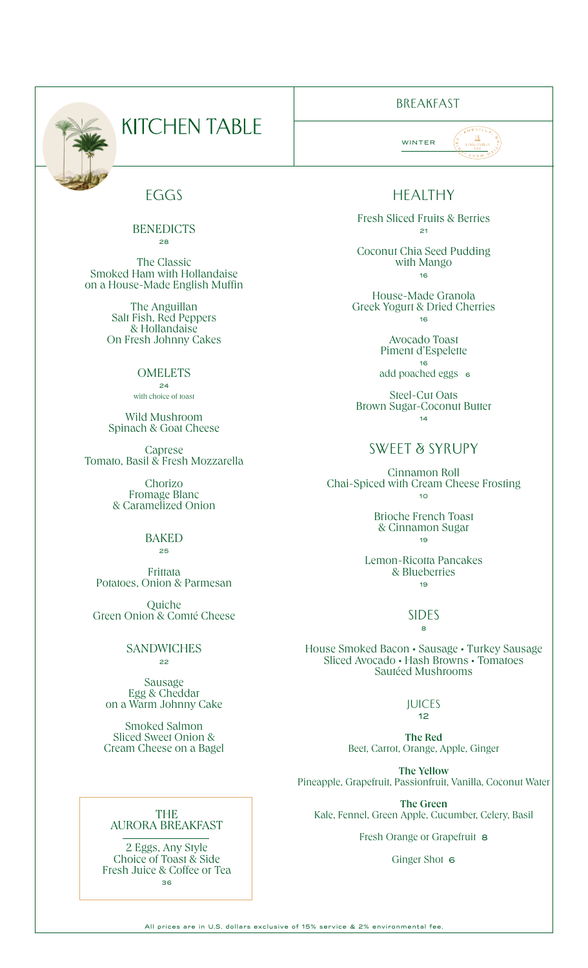

# **KITCHEN TABLE**

## EGGS

#### **BENEDICTS** 28

The Classic Smoked Ham with Hollandaise on a House-Made English Muffin

> The Anguillan Salt Fish, Red Peppers & Hollandaise On Fresh Johnny Cakes

#### **OMELETS** 24

with choice of toast

Wild Mushroom Spinach & Goat Cheese

Caprese Tomato, Basil & Fresh Mozzarella

> Chorizo Fromage Blanc & Caramelized Onion

#### **BAKED** 25

Frittata Potatoes, Onion & Parmesan

Quiche Green Onion & Comté Cheese

#### **SANDWICHES** 22

Sausage Egg & Cheddar on a Warm Johnny Cake

Smoked Salmon Sliced Sweet Onion & Cream Cheese on a Bagel

## BREAKFAST

WINTER

## HEALTHY

Fresh Sliced Fruits & Berries 21

Coconut Chia Seed Pudding with Mango 16

House-Made Granola Greek Yogurt & Dried Cherries 16

> Avocado Toast Piment d'Espelette 16

add poached eggs 6

Steel-Cut Oats Brown Sugar-Coconut Butter  $14$ 

## Sweet & Syrupy

Cinnamon Roll Chai-Spiced with Cream Cheese Frosting  $10<sub>10</sub>$ 

#### Brioche French Toast & Cinnamon Sugar 19

Lemon-Ricotta Pancakes & Blueberries 19

#### SIDES  $\mathbf{a}$

House Smoked Bacon • Sausage • Turkey Sausage Sliced Avocado • Hash Browns • Tomatoes Sautéed Mushrooms

#### JUICES 12

The Red Beet, Carrot, Orange, Apple, Ginger

The Yellow Pineapple, Grapefruit, Passionfruit, Vanilla, Coconut Water

The Green Kale, Fennel, Green Apple, Cucumber, Celery, Basil

Fresh Orange or Grapefruit 8

### Ginger Shot 6

THE AURORA BREAKFAST

2 Eggs, Any Style Choice of Toast & Side Fresh Juice & Coffee or Tea 36

All prices are in U.S. dollars exclusive of 15% service & 2% environmental fee.